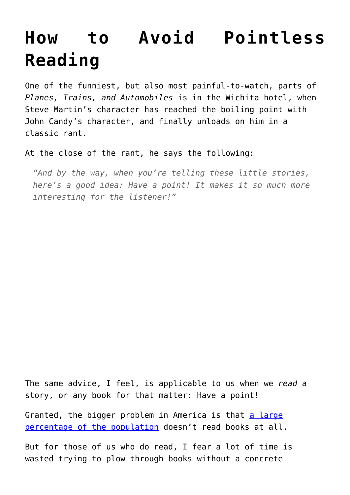## **[How to Avoid Pointless](https://intellectualtakeout.org/2017/01/how-to-avoid-pointless-reading/) [Reading](https://intellectualtakeout.org/2017/01/how-to-avoid-pointless-reading/)**

One of the funniest, but also most painful-to-watch, parts of *Planes, Trains, and Automobiles* is in the Wichita hotel, when Steve Martin's character has reached the boiling point with John Candy's character, and finally unloads on him in a classic rant.

At the close of the rant, he says the following:

*"And by the way, when you're telling these little stories, here's a good idea: Have a point! It makes it so much more interesting for the listener!"*

The same advice, I feel, is applicable to us when we *read* a story, or any book for that matter: Have a point!

Granted, the bigger problem in America is that [a large](https://www.intellectualtakeout.org/blog/almost-1-3-americans-didnt-read-book-last-year) [percentage of the population](https://www.intellectualtakeout.org/blog/almost-1-3-americans-didnt-read-book-last-year) doesn't read books at all.

But for those of us who do read, I fear a lot of time is wasted trying to plow through books without a concrete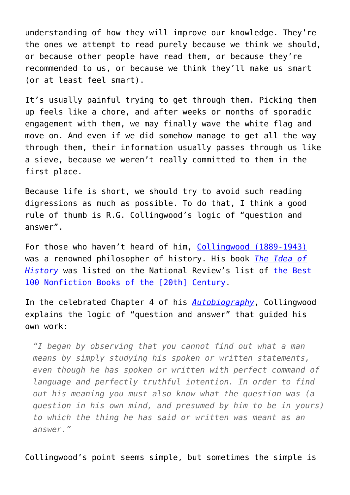understanding of how they will improve our knowledge. They're the ones we attempt to read purely because we think we should, or because other people have read them, or because they're recommended to us, or because we think they'll make us smart (or at least feel smart).

It's usually painful trying to get through them. Picking them up feels like a chore, and after weeks or months of sporadic engagement with them, we may finally wave the white flag and move on. And even if we did somehow manage to get all the way through them, their information usually passes through us like a sieve, because we weren't really committed to them in the first place.

Because life is short, we should try to avoid such reading digressions as much as possible. To do that, I think a good rule of thumb is R.G. Collingwood's logic of "question and answer".

For those who haven't heard of him, [Collingwood \(1889-1943\)](https://www.intellectualtakeout.org/blog/serious-students-history-should-watch-out-these-5-prejudices) was a renowned philosopher of history. His book *[The Idea of](https://www.amazon.com/Idea-History-R-G-Collingwood/dp/0192853066/ref=as_li_ss_tl?s=books&ie=UTF8&qid=1483643679&sr=1-1&keywords=idea+of+history&linkCode=sl1&tag=intelltakeo0d-20&linkId=afc12d350d3485cd2ead2a37ece63c58) [History](https://www.amazon.com/Idea-History-R-G-Collingwood/dp/0192853066/ref=as_li_ss_tl?s=books&ie=UTF8&qid=1483643679&sr=1-1&keywords=idea+of+history&linkCode=sl1&tag=intelltakeo0d-20&linkId=afc12d350d3485cd2ead2a37ece63c58)* was listed on the National Review's list of [the Best](http://www.nationalreview.com/article/215718/non-fiction-100) [100 Nonfiction Books of the \[20th\] Century.](http://www.nationalreview.com/article/215718/non-fiction-100)

In the celebrated Chapter 4 of his *[Autobiography](https://www.amazon.com/Autobiography-R-G-Collingwood/dp/0198246943/ref=as_li_ss_tl?ie=UTF8&linkCode=sl1&tag=intelltakeo0d-20&linkId=f772da7156e9ff2d5d0d1f2fd8b8e8b8)*, Collingwood explains the logic of "question and answer" that guided his own work:

*"I began by observing that you cannot find out what a man means by simply studying his spoken or written statements, even though he has spoken or written with perfect command of language and perfectly truthful intention. In order to find out his meaning you must also know what the question was (a question in his own mind, and presumed by him to be in yours) to which the thing he has said or written was meant as an answer."*

Collingwood's point seems simple, but sometimes the simple is